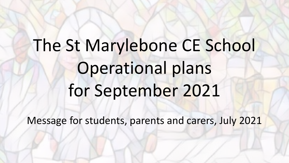# The St Marylebone CE School Operational plans for September 2021

Message for students, parents and carers, July 2021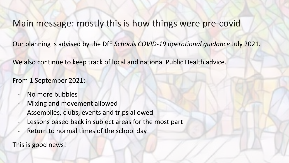## Main message: mostly this is how things were pre-covid

Our planning is advised by the DfE *[Schools COVID-19 operational guidance](https://assets.publishing.service.gov.uk/government/uploads/system/uploads/attachment_data/file/999689/Schools_guidance_Step_4_update_FINAL.pdf)* July 2021.

We also continue to keep track of local and national Public Health advice.

From 1 September 2021:

- No more bubbles
- Mixing and movement allowed
- Assemblies, clubs, events and trips allowed
- Lessons based back in subject areas for the most part
- Return to normal times of the school day

This is good news!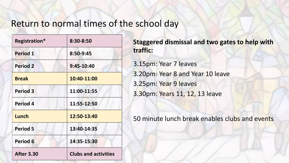## Return to normal times of the school day

| Registration*       | 8:30-8:50                   |
|---------------------|-----------------------------|
| <b>Period 1</b>     | 8:50-9:45                   |
| <b>Period 2</b>     | 9:45-10:40                  |
| <b>Break</b>        | 10:40-11:00                 |
| <b>Period 3</b>     | 11:00-11:55                 |
| <b>Period 4</b>     | 11:55-12:50                 |
| Lunch               | 12:50-13:40                 |
| <b>Period 5</b>     | 13:40-14:35                 |
| Period <sub>6</sub> | 14:35-15:30                 |
| <b>After 3.30</b>   | <b>Clubs and activities</b> |

**Staggered dismissal and two gates to help with traffic:**

3.15pm: Year 7 leaves 3.20pm: Year 8 and Year 10 leave 3.25pm: Year 9 leaves 3.30pm: Years 11, 12, 13 leave

50 minute lunch break enables clubs and events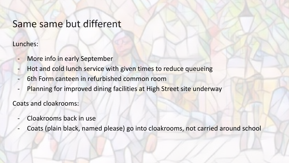## Same same but different

Lunches:

- More info in early September
- Hot and cold lunch service with given times to reduce queueing
- 6th Form canteen in refurbished common room
- Planning for improved dining facilities at High Street site underway

Coats and cloakrooms:

- Cloakrooms back in use
- Coats (plain black, named please) go into cloakrooms, not carried around school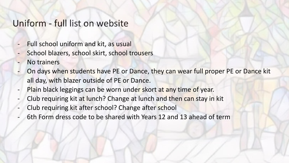## Uniform - full list on website

- Full school uniform and kit, as usual
- School blazers, school skirt, school trousers
- No trainers
- On days when students have PE or Dance, they can wear full proper PE or Dance kit all day, with blazer outside of PE or Dance.
- Plain black leggings can be worn under skort at any time of year.
- Club requiring kit at lunch? Change at lunch and then can stay in kit
- Club requiring kit after school? Change after school
- 6th Form dress code to be shared with Years 12 and 13 ahead of term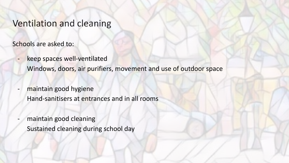## Ventilation and cleaning

Schools are asked to:

- keep spaces well-ventilated Windows, doors, air purifiers, movement and use of outdoor space
- maintain good hygiene Hand-sanitisers at entrances and in all rooms
	- maintain good cleaning Sustained cleaning during school day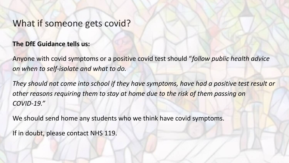## What if someone gets covid?

#### **The DfE Guidance tells us:**

Anyone with covid symptoms or a positive covid test should "*follow public health advice on when to self-isolate and what to do.* 

*They should not come into school if they have symptoms, have had a positive test result or other reasons requiring them to stay at home due to the risk of them passing on COVID-19."* 

We should send home any students who we think have covid symptoms.

If in doubt, please contact NHS 119.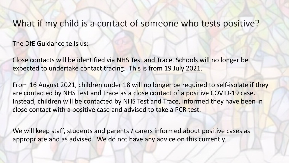## What if my child is a contact of someone who tests positive?

The DfE Guidance tells us:

Close contacts will be identified via NHS Test and Trace. Schools will no longer be expected to undertake contact tracing. This is from 19 July 2021.

From 16 August 2021, children under 18 will no longer be required to self-isolate if they are contacted by NHS Test and Trace as a close contact of a positive COVID-19 case. Instead, children will be contacted by NHS Test and Trace, informed they have been in close contact with a positive case and advised to take a PCR test.

We will keep staff, students and parents / carers informed about positive cases as appropriate and as advised. We do not have any advice on this currently.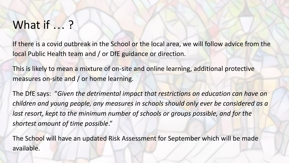# What if ...?

If there is a covid outbreak in the School or the local area, we will follow advice from the local Public Health team and / or DfE guidance or direction.

This is likely to mean a mixture of on-site and online learning, additional protective measures on-site and / or home learning.

The DfE says: "*Given the detrimental impact that restrictions on education can have on children and young people, any measures in schools should only ever be considered as a*  last resort, kept to the minimum number of schools or groups possible, and for the *shortest amount of time possible*."

The School will have an updated Risk Assessment for September which will be made available.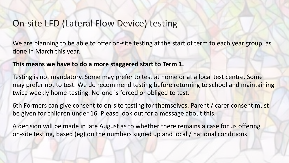## On-site LFD (Lateral Flow Device) testing

We are planning to be able to offer on-site testing at the start of term to each year group, as done in March this year.

**This means we have to do a more staggered start to Term 1.**

Testing is not mandatory. Some may prefer to test at home or at a local test centre. Some may prefer not to test. We do recommend testing before returning to school and maintaining twice weekly home-testing. No-one is forced or obliged to test.

6th Formers can give consent to on-site testing for themselves. Parent / carer consent must be given for children under 16. Please look out for a message about this.

A decision will be made in late August as to whether there remains a case for us offering on-site testing, based (eg) on the numbers signed up and local / national conditions.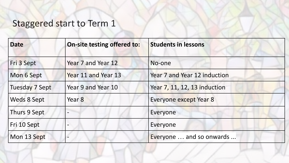## Staggered start to Term 1

| <b>Date</b>    | <b>On-site testing offered to:</b> | <b>Students in lessons</b>   |
|----------------|------------------------------------|------------------------------|
| Fri 3 Sept     | Year 7 and Year 12                 | No-one                       |
| Mon 6 Sept     | Year 11 and Year 13                | Year 7 and Year 12 induction |
| Tuesday 7 Sept | Year 9 and Year 10                 | Year 7, 11, 12, 13 induction |
| Weds 8 Sept    | Year 8                             | Everyone except Year 8       |
| Thurs 9 Sept   | $\overline{\phantom{m}}$           | Everyone                     |
| Fri 10 Sept    |                                    | Everyone                     |
| Mon 13 Sept    |                                    | Everyone  and so onwards     |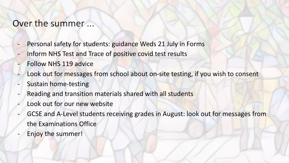## Over the summer ...

- Personal safety for students: guidance Weds 21 July in Forms
- Inform NHS Test and Trace of positive covid test results
- Follow NHS 119 advice
- Look out for messages from school about on-site testing, if you wish to consent
- Sustain home-testing
- Reading and transition materials shared with all students
- Look out for our new website
- GCSE and A-Level students receiving grades in August: look out for messages from the Examinations Office
- Enjoy the summer!